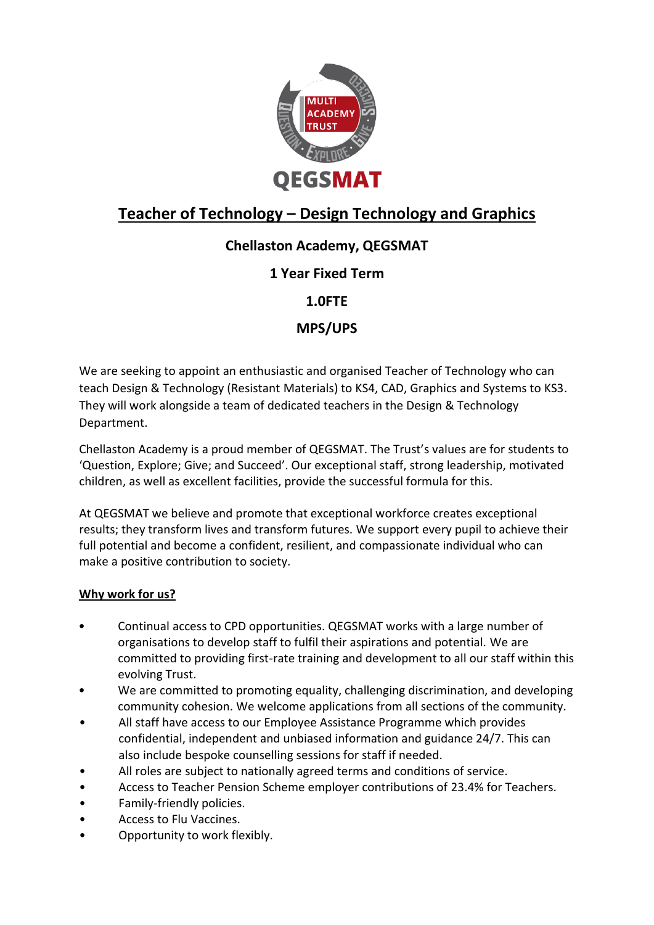

# **Teacher of Technology – Design Technology and Graphics**

# **Chellaston Academy, QEGSMAT**

## **1 Year Fixed Term**

**1.0FTE**

## **MPS/UPS**

We are seeking to appoint an enthusiastic and organised Teacher of Technology who can teach Design & Technology (Resistant Materials) to KS4, CAD, Graphics and Systems to KS3. They will work alongside a team of dedicated teachers in the Design & Technology Department.

Chellaston Academy is a proud member of QEGSMAT. The Trust's values are for students to 'Question, Explore; Give; and Succeed'. Our exceptional staff, strong leadership, motivated children, as well as excellent facilities, provide the successful formula for this.

At QEGSMAT we believe and promote that exceptional workforce creates exceptional results; they transform lives and transform futures. We support every pupil to achieve their full potential and become a confident, resilient, and compassionate individual who can make a positive contribution to society.

### **Why work for us?**

- Continual access to CPD opportunities. QEGSMAT works with a large number of organisations to develop staff to fulfil their aspirations and potential. We are committed to providing first-rate training and development to all our staff within this evolving Trust.
- We are committed to promoting equality, challenging discrimination, and developing community cohesion. We welcome applications from all sections of the community.
- All staff have access to our Employee Assistance Programme which provides confidential, independent and unbiased information and guidance 24/7. This can also include bespoke counselling sessions for staff if needed.
- All roles are subject to nationally agreed terms and conditions of service.
- Access to Teacher Pension Scheme employer contributions of 23.4% for Teachers.
- Family-friendly policies.
- Access to Flu Vaccines.
- Opportunity to work flexibly.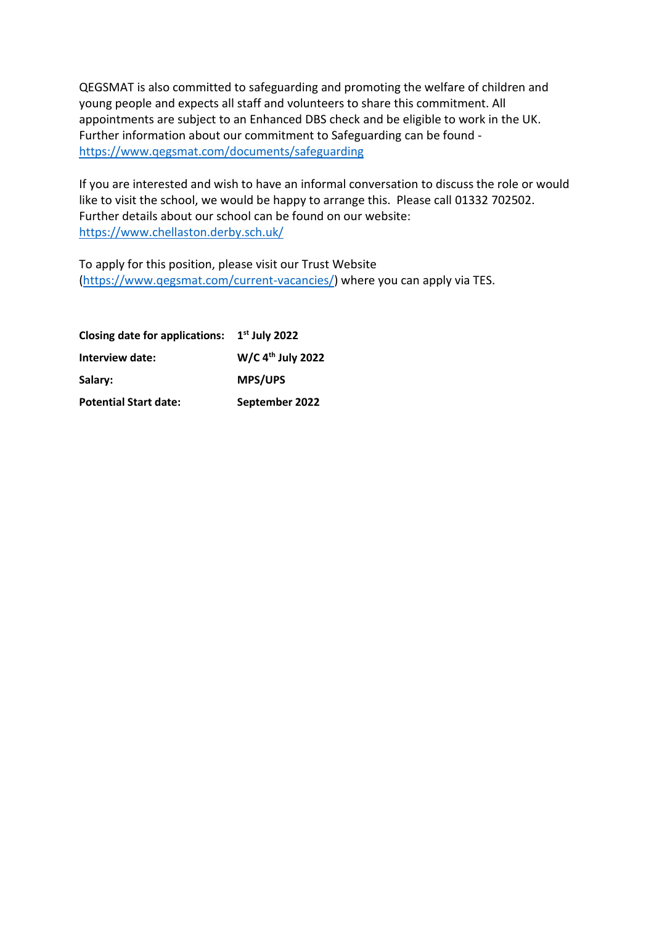QEGSMAT is also committed to safeguarding and promoting the welfare of children and young people and expects all staff and volunteers to share this commitment. All appointments are subject to an Enhanced DBS check and be eligible to work in the UK. Further information about our commitment to Safeguarding can be found <https://www.qegsmat.com/documents/safeguarding>

If you are interested and wish to have an informal conversation to discuss the role or would like to visit the school, we would be happy to arrange this. Please call 01332 702502. Further details about our school can be found on our website: <https://www.chellaston.derby.sch.uk/>

To apply for this position, please visit our Trust Website [\(https://www.qegsmat.com/current-vacancies/\)](https://www.qegsmat.com/current-vacancies/) where you can apply via TES.

**Closing date for applications: 1 st July 2022 Interview date: W/C 4th July 2022 Salary: MPS/UPS Potential Start date: September 2022**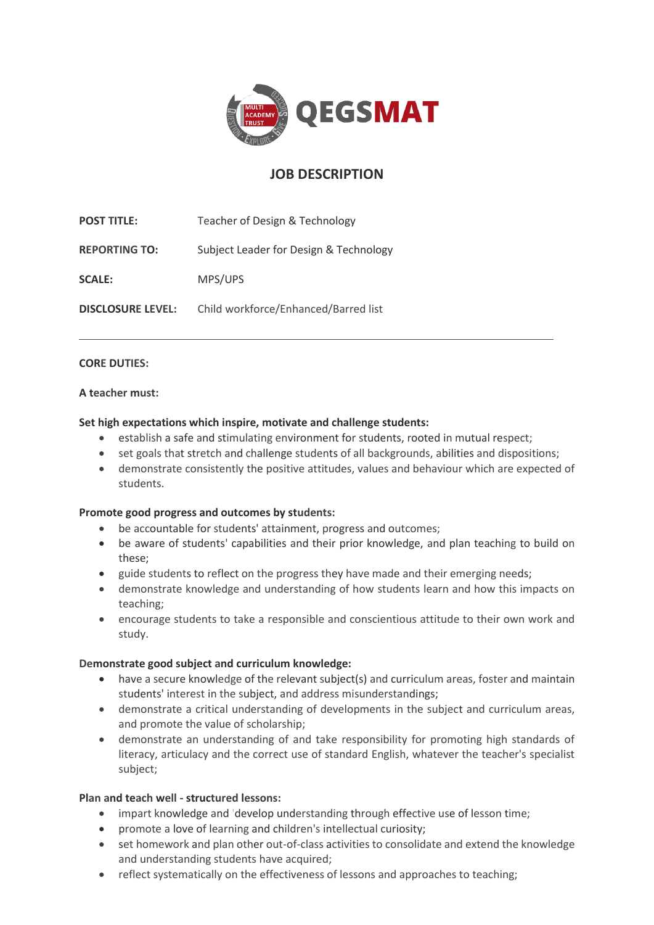

## **JOB DESCRIPTION**

**POST TITLE:** Teacher of Design & Technology **REPORTING TO:** Subject Leader for Design & Technology **SCALE:** MPS/UPS **DISCLOSURE LEVEL:** Child workforce/Enhanced/Barred list

#### **CORE DUTIES:**

#### **A teacher must:**

#### **Set high expectations which inspire, motivate and challenge students:**

- establish a safe and stimulating environment for students, rooted in mutual respect;
- set goals that stretch and challenge students of all backgrounds, abilities and dispositions;
- demonstrate consistently the positive attitudes, values and behaviour which are expected of students.

#### **Promote good progress and outcomes by students:**

- be accountable for students' attainment, progress and outcomes;
- be aware of students' capabilities and their prior knowledge, and plan teaching to build on these;
- guide students to reflect on the progress they have made and their emerging needs;
- demonstrate knowledge and understanding of how students learn and how this impacts on teaching;
- encourage students to take a responsible and conscientious attitude to their own work and study.

#### **Demonstrate good subject and curriculum knowledge:**

- have a secure knowledge of the relevant subject(s) and curriculum areas, foster and maintain students' interest in the subject, and address misunderstandings;
- demonstrate a critical understanding of developments in the subject and curriculum areas, and promote the value of scholarship;
- demonstrate an understanding of and take responsibility for promoting high standards of literacy, articulacy and the correct use of standard English, whatever the teacher's specialist subject;

#### **Plan and teach well - structured lessons:**

- impart knowledge and 'develop understanding through effective use of lesson time;
- promote a love of learning and children's intellectual curiosity;
- set homework and plan other out-of-class activities to consolidate and extend the knowledge and understanding students have acquired;
- reflect systematically on the effectiveness of lessons and approaches to teaching;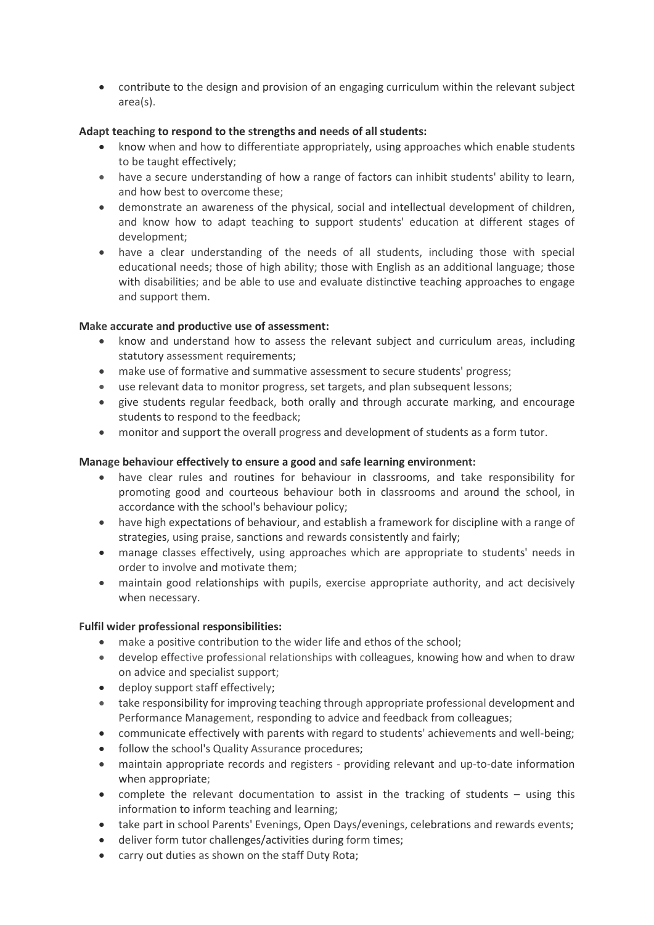• contribute to the design and provision of an engaging curriculum within the relevant subject area(s).

#### **Adapt teaching to respond to the strengths and needs of all students:**

- know when and how to differentiate appropriately, using approaches which enable students to be taught effectively;
- have a secure understanding of how a range of factors can inhibit students' ability to learn, and how best to overcome these;
- demonstrate an awareness of the physical, social and intellectual development of children, and know how to adapt teaching to support students' education at different stages of development;
- have a clear understanding of the needs of all students, including those with special educational needs; those of high ability; those with English as an additional language; those with disabilities; and be able to use and evaluate distinctive teaching approaches to engage and support them.

#### **Make accurate and productive use of assessment:**

- know and understand how to assess the relevant subject and curriculum areas, including statutory assessment requirements;
- make use of formative and summative assessment to secure students' progress;
- use relevant data to monitor progress, set targets, and plan subsequent lessons;
- give students regular feedback, both orally and through accurate marking, and encourage students to respond to the feedback;
- monitor and support the overall progress and development of students as a form tutor.

#### **Manage behaviour effectively to ensure a good and safe learning environment:**

- have clear rules and routines for behaviour in classrooms, and take responsibility for promoting good and courteous behaviour both in classrooms and around the school, in accordance with the school's behaviour policy;
- have high expectations of behaviour, and establish a framework for discipline with a range of strategies, using praise, sanctions and rewards consistently and fairly;
- manage classes effectively, using approaches which are appropriate to students' needs in order to involve and motivate them;
- maintain good relationships with pupils, exercise appropriate authority, and act decisively when necessary.

#### **Fulfil wider professional responsibilities:**

- make a positive contribution to the wider life and ethos of the school;
- develop effective professional relationships with colleagues, knowing how and when to draw on advice and specialist support;
- deploy support staff effectively;
- take responsibility for improving teaching through appropriate professional development and Performance Management, responding to advice and feedback from colleagues;
- communicate effectively with parents with regard to students' achievements and well-being;
- follow the school's Quality Assurance procedures;
- maintain appropriate records and registers providing relevant and up-to-date information when appropriate;
- complete the relevant documentation to assist in the tracking of students using this information to inform teaching and learning;
- take part in school Parents' Evenings, Open Days/evenings, celebrations and rewards events;
- deliver form tutor challenges/activities during form times;
- carry out duties as shown on the staff Duty Rota;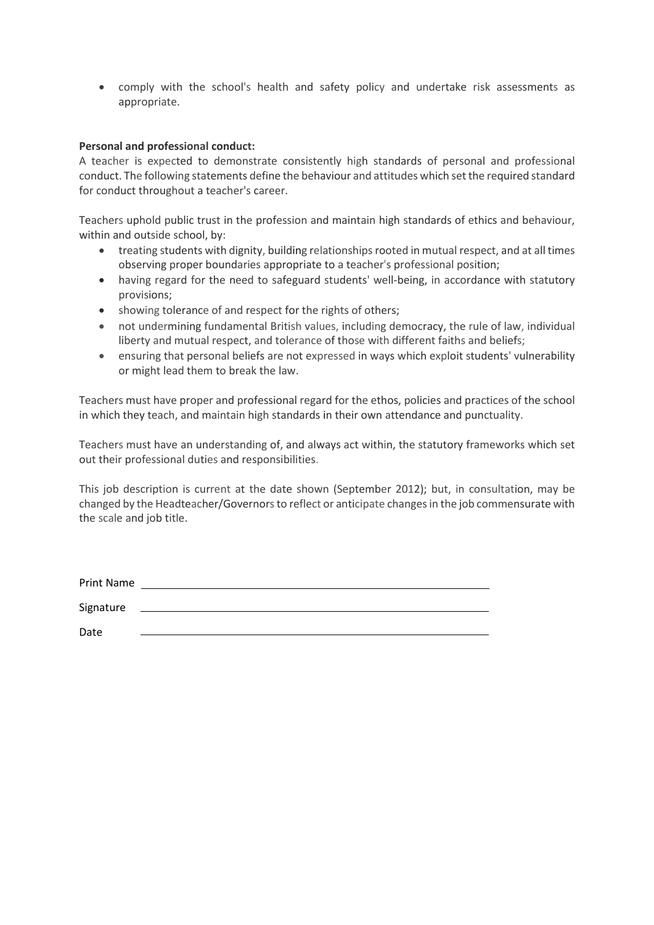• comply with the school's health and safety policy and undertake risk assessments as appropriate.

#### **Personal and professional conduct:**

A teacher is expected to demonstrate consistently high standards of personal and professional conduct. The following statements define the behaviour and attitudes which set the required standard for conduct throughout a teacher's career.

Teachers uphold public trust in the profession and maintain high standards of ethics and behaviour, within and outside school, by:

- treating students with dignity, building relationships rooted in mutual respect, and at all times observing proper boundaries appropriate to a teacher's professional position;
- having regard for the need to safeguard students' well-being, in accordance with statutory provisions;
- showing tolerance of and respect for the rights of others;
- not undermining fundamental British values, including democracy, the rule of law, individual liberty and mutual respect, and tolerance of those with different faiths and beliefs;
- ensuring that personal beliefs are not expressed in ways which exploit students' vulnerability or might lead them to break the law.

Teachers must have proper and professional regard for the ethos, policies and practices of the school in which they teach, and maintain high standards in their own attendance and punctuality.

Teachers must have an understanding of, and always act within, the statutory frameworks which set out their professional duties and responsibilities.

This job description is current at the date shown (September 2012); but, in consultation, may be changed by the Headteacher/Governors to reflect or anticipate changes in the job commensurate with the scale and job title.

| Print Name |  |
|------------|--|
| Signature  |  |
| Date       |  |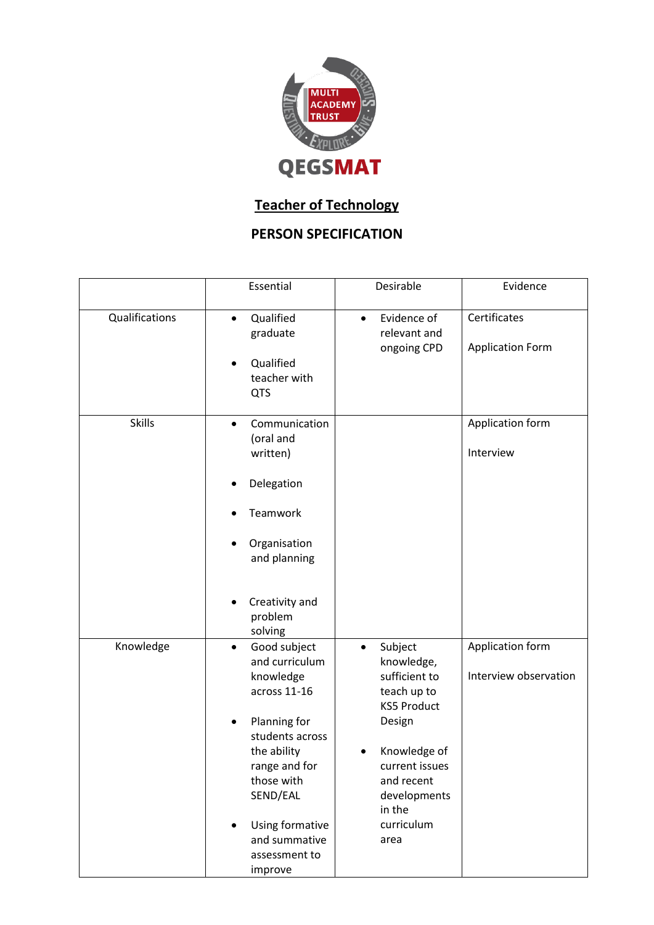

# **Teacher of Technology**

# **PERSON SPECIFICATION**

|                | Essential                                                                                                                                                                                                                             | Desirable                                                                                                                                                                                          | Evidence                                  |
|----------------|---------------------------------------------------------------------------------------------------------------------------------------------------------------------------------------------------------------------------------------|----------------------------------------------------------------------------------------------------------------------------------------------------------------------------------------------------|-------------------------------------------|
| Qualifications | Qualified<br>$\bullet$<br>graduate<br>Qualified<br>teacher with<br><b>QTS</b>                                                                                                                                                         | Evidence of<br>$\bullet$<br>relevant and<br>ongoing CPD                                                                                                                                            | Certificates<br><b>Application Form</b>   |
| <b>Skills</b>  | Communication<br>$\bullet$<br>(oral and<br>written)<br>Delegation<br>Teamwork<br>Organisation<br>and planning                                                                                                                         |                                                                                                                                                                                                    | Application form<br>Interview             |
|                | Creativity and<br>problem<br>solving                                                                                                                                                                                                  |                                                                                                                                                                                                    |                                           |
| Knowledge      | Good subject<br>$\bullet$<br>and curriculum<br>knowledge<br>across 11-16<br>Planning for<br>students across<br>the ability<br>range and for<br>those with<br>SEND/EAL<br>Using formative<br>and summative<br>assessment to<br>improve | Subject<br>$\bullet$<br>knowledge,<br>sufficient to<br>teach up to<br><b>KS5 Product</b><br>Design<br>Knowledge of<br>current issues<br>and recent<br>developments<br>in the<br>curriculum<br>area | Application form<br>Interview observation |